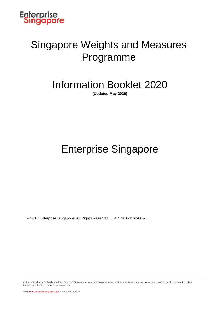

### Singapore Weights and Measures Programme

### Information Booklet 2020

**(Updated May 2020)** 

### Enterprise Singapore

© 2018 Enterprise Singapore. All Rights Reserved. ISBN 981-4150-00-2

As the national body for legal metrology, Enterprise Singapore regulates weighing and measuring instruments for trade use to ensure fair transaction of goods and to protect the interests of both consumers and businesses.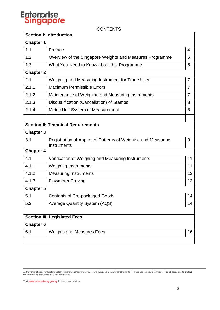**CONTENTS** 

|                  | <b>Section I: Introduction</b>                                             |                |
|------------------|----------------------------------------------------------------------------|----------------|
| <b>Chapter 1</b> |                                                                            |                |
| 1.1              | Preface                                                                    | 4              |
| 1.2              | Overview of the Singapore Weights and Measures Programme                   | 5              |
| 1.3              | What You Need to Know about this Programme                                 | 5              |
| <b>Chapter 2</b> |                                                                            |                |
| 2.1              | Weighing and Measuring Instrument for Trade User                           | 7              |
| 2.1.1            | Maximum Permissible Errors                                                 | $\overline{7}$ |
| 2.1.2            | Maintenance of Weighing and Measuring Instruments                          | $\overline{7}$ |
| 2.1.3            | Disqualification (Cancellation) of Stamps                                  | 8              |
| 2.1.4            | Metric Unit System of Measurement                                          | 8              |
|                  |                                                                            |                |
|                  | <b>Section II: Technical Requirements</b>                                  |                |
| <b>Chapter 3</b> |                                                                            |                |
| 3.1              | Registration of Approved Patterns of Weighing and Measuring<br>Instruments | 9              |
| <b>Chapter 4</b> |                                                                            |                |
| 4.1              | Verification of Weighing and Measuring Instruments                         | 11             |
| 4.1.1            | <b>Weighing Instruments</b>                                                | 11             |
| 4.1.2            | <b>Measuring Instruments</b>                                               | 12             |
| 4.1.3            | <b>Flowmeter Proving</b>                                                   | 12             |
| <b>Chapter 5</b> |                                                                            |                |
| 5.1              | <b>Contents of Pre-packaged Goods</b>                                      | 14             |
| 5.2              | <b>Average Quantity System (AQS)</b>                                       | 14             |
|                  |                                                                            |                |
|                  | <b>Section III: Legislated Fees</b>                                        |                |
| <b>Chapter 6</b> |                                                                            |                |
| 6.1              | <b>Weights and Measures Fees</b>                                           | 16             |
|                  |                                                                            |                |

As the national body for legal metrology, Enterprise Singapore regulates weighing and measuring instruments for trade use to ensure fair transaction of goods and to protect the interests of both consumers and businesses.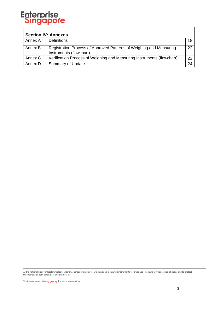| <b>Section IV: Annexes</b> |                                                                                                |    |  |
|----------------------------|------------------------------------------------------------------------------------------------|----|--|
| Annex A                    | <b>Definitions</b>                                                                             |    |  |
| Annex B                    | Registration Process of Approved Patterns of Weighing and Measuring<br>Instruments (flowchart) | 22 |  |
| Annex C                    | Verification Process of Weighing and Measuring Instruments (flowchart)                         | 23 |  |
| Annex D                    | Summary of Update                                                                              | 24 |  |

As the national body for legal metrology, Enterprise Singapore regulates weighing and measuring instruments for trade use to ensure fair transaction of goods and to protect the interests of both consumers and businesses.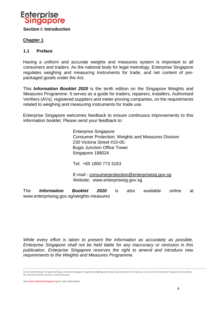

### **Chapter 1**

### **1.1 Preface**

Having a uniform and accurate weights and measures system is important to all consumers and traders. As the national body for legal metrology, Enterprise Singapore regulates weighing and measuring instruments for trade, and net content of prepackaged goods under the Act.

This *Information Booklet 2020* is the tenth edition on the Singapore Weights and Measures Programme. It serves as a guide for traders, repairers, installers, Authorised Verifiers (AVs), registered suppliers and meter-proving companies, on the requirements related to weighing and measuring instruments for trade use.

Enterprise Singapore welcomes feedback to ensure continuous improvements to this information booklet. Please send your feedback to:

> Enterprise Singapore Consumer Protection, Weights and Measures Division 230 Victoria Street #10-00, Bugis Junction Office Tower Singapore 188024

Tel: +65 1800 773 3163

E-mail : consumerprotection@enterprisesg.gov.sg Website: www.enterprisesg.gov.sg

The *Information Booklet 2020* is also available online at www.enterprisesg.gov.sg/weights-measures

*While every effort is taken to present the information as accurately as possible, Enterprise Singapore shall not be held liable for any inaccuracy or omission in this publication. Enterprise Singapore reserves the right to amend and introduce new requirements to the Weights and Measures Programme.* 

As the national body for legal metrology, Enterprise Singapore regulates weighing and measuring instruments for trade use to ensure fair transaction of goods and to protect the interests of both consumers and businesses.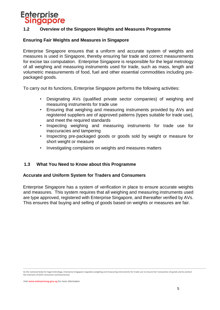### **1.2 Overview of the Singapore Weights and Measures Programme**

### **Ensuring Fair Weights and Measures in Singapore**

Enterprise Singapore ensures that a uniform and accurate system of weights and measures is used in Singapore, thereby ensuring fair trade and correct measurements for excise tax computation. Enterprise Singapore is responsible for the legal metrology of all weighing and measuring instruments used for trade, such as mass, length and volumetric measurements of food, fuel and other essential commodities including prepackaged goods.

To carry out its functions, Enterprise Singapore performs the following activities:

- Designating AVs (qualified private sector companies) of weighing and measuring instruments for trade use
- Ensuring that weighing and measuring instruments provided by AVs and registered suppliers are of approved patterns (types suitable for trade use), and meet the required standards
- Inspecting weighing and measuring instruments for trade use for inaccuracies and tampering
- Inspecting pre-packaged goods or goods sold by weight or measure for short weight or measure
- Investigating complaints on weights and measures matters

### **1.3 What You Need to Know about this Programme**

### **Accurate and Uniform System for Traders and Consumers**

Enterprise Singapore has a system of verification in place to ensure accurate weights and measures. This system requires that all weighing and measuring instruments used are type approved, registered with Enterprise Singapore, and thereafter verified by AVs. This ensures that buying and selling of goods based on weights or measures are fair.

As the national body for legal metrology, Enterprise Singapore regulates weighing and measuring instruments for trade use to ensure fair transaction of goods and to protect the interests of both consumers and businesses.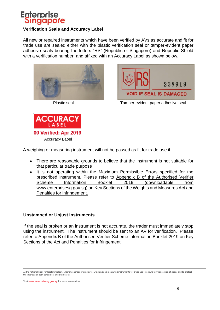

### **Verification Seals and Accuracy Label**

All new or repaired instruments which have been verified by AVs as accurate and fit for trade use are sealed either with the plastic verification seal or tamper-evident paper adhesive seals bearing the letters "RS" (Republic of Singapore) and Republic Shield with a verification number, and affixed with an Accuracy Label as shown below.





Plastic seal Tamper-evident paper adhesive seal



A weighing or measuring instrument will not be passed as fit for trade use if

- There are reasonable grounds to believe that the instrument is not suitable for that particular trade purpose
- It is not operating within the Maximum Permissible Errors specified for the prescribed instrument. Please refer to Appendix B of the Authorised Verifier Scheme Information Booklet 2019 (downloadable from www.enterprisesg.gov.s[g\)](http://www.spring.gov.sg/wmo) on Key Sections of the Weights and Measures Act and Penalties for infringement.

### **Unstamped or Unjust Instruments**

If the seal is broken or an instrument is not accurate, the trader must immediately stop using the instrument. The instrument should be sent to an AV for verification. Please refer to Appendix B of the Authorised Verifier Scheme Information Booklet 2019 on Key Sections of the Act and Penalties for Infringement.

As the national body for legal metrology, Enterprise Singapore regulates weighing and measuring instruments for trade use to ensure fair transaction of goods and to protect the interests of both consumers and businesses.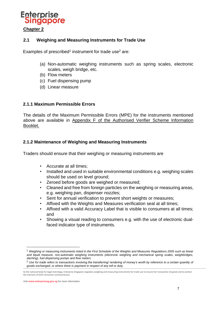

### **2.1 Weighing and Measuring Instruments for Trade Use**

Examples of prescribed<sup>1</sup> instrument for trade use<sup>2</sup> are:

- (a) Non-automatic weighing instruments such as spring scales, electronic scales, weigh bridge, etc.
- (b) Flow meters
- (c) Fuel dispensing pump
- (d) Linear measure

### **2.1.1 Maximum Permissible Errors**

The details of the Maximum Permissible Errors (MPE) for the instruments mentioned above are available in Appendix F of the Authorised Verifier Scheme Information Booklet.

### **2.1.2 Maintenance of Weighing and Measuring Instruments**

Traders should ensure that their weighing or measuring instruments are

- Accurate at all times;
- Installed and used in suitable environmental conditions e.g. weighing scales should be used on level ground;
- Zeroed before goods are weighed or measured;
- Cleaned and free from foreign particles on the weighing or measuring areas, e.g. weighing pan, dispenser nozzles;
- Sent for annual verification to prevent short weights or measures;
- Affixed with the Weights and Measures verification seal at all times;
- Affixed with a valid Accuracy Label that is visible to consumers at all times; and
- Showing a visual reading to consumers e.g. with the use of electronic dualfaced indicator type of instruments.

Visit **www.enterprisesg.gov.sg** for more information.

1

<sup>&</sup>lt;sup>1</sup> Weighing or measuring instruments listed in the First Schedule of the Weights and Measures Regulations 2005 such as linear *and liquid measure, non-automatic weighing instruments (electronic weighing and mechanical spring scales, weighbridges, daching), fuel dispensing pumps and flow meters.*

<sup>2</sup> *Use for trade refers to transactions involving the transferring/ rendering of money's worth by reference to a certain quantity of goods exchanged, or where there is payment in respect of any toll or duty.*

As the national body for legal metrology, Enterprise Singapore regulates weighing and measuring instruments for trade use to ensure fair transaction of goods and to protect the interests of both consumers and businesses.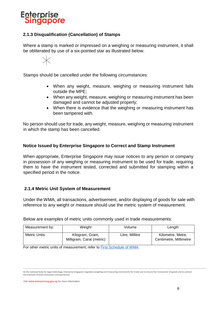

### **2.1.3 Disqualification (Cancellation) of Stamps**

Where a stamp is marked or impressed on a weighing or measuring instrument, it shall be obliterated by use of a six-pointed star as illustrated below.



Stamps should be cancelled under the following circumstances:

- When any weight, measure, weighing or measuring instrument falls outside the MPE;
- When any weight, measure, weighing or measuring instrument has been damaged and cannot be adjusted properly;
- When there is evidence that the weighing or measuring instrument has been tampered with.

No person should use for trade, any weight, measure, weighing or measuring instrument in which the stamp has been cancelled.

### **Notice Issued by Enterprise Singapore to Correct and Stamp Instrument**

When appropriate, Enterprise Singapore may issue notices to any person or company in possession of any weighing or measuring instrument to be used for trade, requiring them to have the instrument tested, corrected and submitted for stamping within a specified period in the notice.

### **2.1.4 Metric Unit System of Measurement**

Under the WMA, all transactions, advertisement, and/or displaying of goods for sale with reference to any weight or measure should use the metric system of measurement.

Below are examples of metric units commonly used in trade measurements:

| Measurement by: | Weight                                       | Volume          | Length                                      |
|-----------------|----------------------------------------------|-----------------|---------------------------------------------|
| Metric Units:   | Kilogram, Gram,<br>Milligram, Carat (metric) | Litre, Millitre | Kilometre, Metre,<br>Centimetre, Millimetre |

For other metric units of measurement, refer to [First Schedule of WMA.](https://sso.agc.gov.sg/Act/WMA1975?ProvIds=Sc1-#Sc1-)

As the national body for legal metrology, Enterprise Singapore regulates weighing and measuring instruments for trade use to ensure fair transaction of goods and to protect the interests of both consumers and businesses.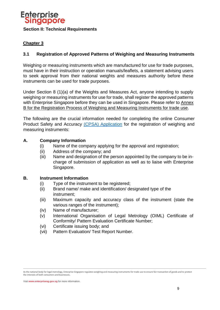

### **Chapter 3**

### **3.1 Registration of Approved Patterns of Weighing and Measuring Instruments**

Weighing or measuring instruments which are manufactured for use for trade purposes, must have in their instruction or operation manuals/leaflets, a statement advising users to seek approval from their national weights and measures authority before these instruments can be used for trade purposes.

Under Section 8 (1)(a) of the Weights and Measures Act, anyone intending to supply weighing or measuring instruments for use for trade, shall register the approved patterns with Enterprise Singapore before they can be used in Singapore. Please refer to Annex B for the Registration Process of Weighing and Measuring Instruments for trade use.

The following are the crucial information needed for completing the online [Consumer](https://cpsa.spring.gov.sg/TotalAgility/Forms/custom/publicsite/login.html)  [Product Safety and Accuracy](https://cpsa.spring.gov.sg/TotalAgility/Forms/custom/publicsite/login.html) [\(CPSA\) Application](https://cpsa.enterprisesg.gov.sg/totalagility/forms/custom/publicsite/login.html) for the registration of weighing and measuring instruments:

### **A. Company Information**

- (i) Name of the company applying for the approval and registration;
- (ii) Address of the company; and
- (iii) Name and designation of the person appointed by the company to be incharge of submission of application as well as to liaise with Enterprise Singapore.

### **B. Instrument Information**

- (i) Type of the instrument to be registered;
- (ii) Brand name/ make and identification/ designated type of the instrument;
- (iii) Maximum capacity and accuracy class of the instrument (state the various ranges of the instrument);
- (iv) Name of manufacturer;
- (v) International Organisation of Legal Metrology (OIML) Certificate of Conformity/ Pattern Evaluation Certificate Number;
- (vi) Certificate issuing body; and
- (vii) Pattern Evaluation/ Test Report Number.

As the national body for legal metrology, Enterprise Singapore regulates weighing and measuring instruments for trade use to ensure fair transaction of goods and to protect the interests of both consumers and businesses.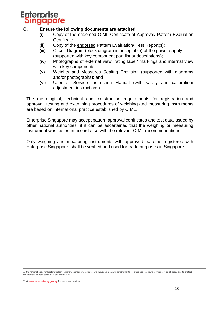

### **C. Ensure the following documents are attached**

- (i) Copy of the endorsed OIML Certificate of Approval/ Pattern Evaluation Certificate;
- (ii) Copy of the endorsed Pattern Evaluation/ Test Report(s);
- (iii) Circuit Diagram (block diagram is acceptable) of the power supply (supported with key component part list or descriptions);
- (iv) Photographs of external view, rating label/ markings and internal view with key components;
- (v) Weights and Measures Sealing Provision (supported with diagrams and/or photographs); and
- (vi) User or Service Instruction Manual (with safety and calibration/ adjustment instructions).

The metrological, technical and construction requirements for registration and approval, testing and examining procedures of weighing and measuring instruments are based on international practice established by OIML.

Enterprise Singapore may accept pattern approval certificates and test data issued by other national authorities, if it can be ascertained that the weighing or measuring instrument was tested in accordance with the relevant OIML recommendations.

Only weighing and measuring instruments with approved patterns registered with Enterprise Singapore, shall be verified and used for trade purposes in Singapore.

As the national body for legal metrology, Enterprise Singapore regulates weighing and measuring instruments for trade use to ensure fair transaction of goods and to protect the interests of both consumers and businesses.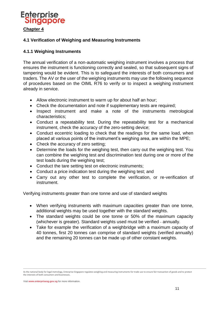

### **4.1 Verification of Weighing and Measuring Instruments**

### **4.1.1 Weighing Instruments**

The annual verification of a non-automatic weighing instrument involves a process that ensures the instrument is functioning correctly and sealed, so that subsequent signs of tampering would be evident. This is to safeguard the interests of both consumers and traders. The AV or the user of the weighing instruments may use the following sequence of procedures based on the OIML R76 to verify or to inspect a weighing instrument already in service.

- Allow electronic instrument to warm up for about half an hour;
- Check the documentation and note if supplementary tests are required;
- Inspect instrument and make a note of the instruments metrological characteristics;
- Conduct a repeatability test. During the repeatability test for a mechanical instrument, check the accuracy of the zero-setting device;
- Conduct eccentric loading to check that the readings for the same load, when placed at various points of the instrument's weighing area, are within the MPE;
- Check the accuracy of zero setting;
- Determine the loads for the weighing test, then carry out the weighing test. You can combine the weighing test and discrimination test during one or more of the test loads during the weighing test;
- Conduct the tare setting test on electronic instruments;
- Conduct a price indication test during the weighing test; and
- Carry out any other test to complete the verification, or re-verification of instrument.

Verifying instruments greater than one tonne and use of standard weights

- When verifying instruments with maximum capacities greater than one tonne, additional weights may be used together with the standard weights.
- The standard weights could be one tonne or 50% of the maximum capacity (whichever is greater). Standard weights used must be verified - annually.
- Take for example the verification of a weighbridge with a maximum capacity of 40 tonnes, first 20 tonnes can comprise of standard weights (verified annually) and the remaining 20 tonnes can be made up of other constant weights.

As the national body for legal metrology, Enterprise Singapore regulates weighing and measuring instruments for trade use to ensure fair transaction of goods and to protect the interests of both consumers and businesses.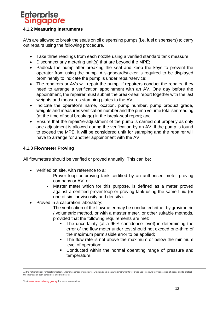### **4.1.2 Measuring Instruments**

AVs are allowed to break the seals on oil dispensing pumps (i.e. fuel dispensers) to carry out repairs using the following procedure.

- Take three readings from each nozzle using a verified standard tank measure;
- Disconnect any metering unit(s) that are beyond the MPE;
- Padlock the pump after breaking the seal and keep the keys to prevent the operator from using the pump. A signboard/sticker is required to be displayed prominently to indicate the pump is under repair/service;
- The repairers or AVs will repair the pump. If repairers conduct the repairs, they need to arrange a verification appointment with an AV. One day before the appointment, the repairer must submit the break-seal report together with the last weights and measures stamping plates to the AV;
- Indicate the operator's name, location, pump number, pump product grade, weights and measures verification number and the pump volume totaliser reading (at the time of seal breakage) in the break-seal report; and
- Ensure that the repair/re-adjustment of the pump is carried out properly as only one adjustment is allowed during the verification by an AV. If the pump is found to exceed the MPE, it will be considered unfit for stamping and the repairer will have to arrange for another appointment with the AV.

### **4.1.3 Flowmeter Proving**

All flowmeters should be verified or proved annually. This can be:

- Verified on site, with reference to a:
	- Prover loop or proving tank certified by an authorised meter proving company or AV, or
	- Master meter which for this purpose, is defined as a meter proved against a certified prover loop or proving tank using the same fluid (or one of similar viscosity and density).
- Proved in a calibration laboratory:
	- The verification of the flowmeter may be conducted either by gravimetric / volumetric method, or with a master meter, or other suitable methods, provided that the following requirements are met:
		- The uncertainty (at a 95% confidence level) in determining the error of the flow meter under test should not exceed one-third of the maximum permissible error to be applied;
		- The flow rate is not above the maximum or below the minimum level of operation;
		- Conducted within the normal operating range of pressure and temperature.

As the national body for legal metrology, Enterprise Singapore regulates weighing and measuring instruments for trade use to ensure fair transaction of goods and to protect the interests of both consumers and businesses.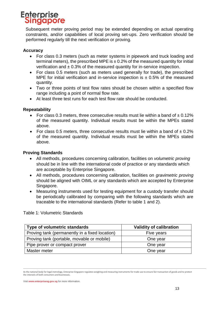Subsequent meter proving period may be extended depending on actual operating constraints, and/or capabilities of local proving set-ups. Zero verification should be performed regularly till the next verification or proving.

### **Accuracy**

- For class 0.3 meters (such as meter systems in pipework and truck loading and terminal meters), the prescribed MPE is  $\pm$  0.2% of the measured quantity for initial verification and  $\pm$  0.3% of the measured quantity for in-service inspection.
- For class 0.5 meters (such as meters used generally for trade), the prescribed MPE for initial verification and in-service inspection is  $\pm$  0.5% of the measured quantity.
- Two or three points of test flow rates should be chosen within a specified flow range including a point of normal flow rate.
- At least three test runs for each test flow rate should be conducted.

### **Repeatability**

- For class 0.3 meters, three consecutive results must lie within a band of  $\pm$  0.12% of the measured quantity. Individual results must be within the MPEs stated above.
- For class 0.5 meters, three consecutive results must lie within a band of  $\pm$  0.2% of the measured quantity. Individual results must be within the MPEs stated above.

### **Proving Standards**

- All methods, procedures concerning calibration, facilities on *volumetric proving* should be in line with the international code of practice or any standards which are acceptable by Enterprise Singapore.
- All methods, procedures concerning calibration, facilities on *gravimetric proving* should be aligned with OIML or any standards which are accepted by Enterprise Singapore.
- Measuring instruments used for testing equipment for a custody transfer should be periodically calibrated by comparing with the following standards which are traceable to the international standards (Refer to table 1 and 2).

| Type of volumetric standards                   | <b>Validity of calibration</b> |
|------------------------------------------------|--------------------------------|
| Proving tank (permanently in a fixed location) | Five years                     |
| Proving tank (portable, movable or mobile)     | One year                       |
| Pipe prover or compact prover                  | One year                       |
| Master meter                                   | One year                       |

Table 1: Volumetric Standards

As the national body for legal metrology, Enterprise Singapore regulates weighing and measuring instruments for trade use to ensure fair transaction of goods and to protect the interests of both consumers and businesses.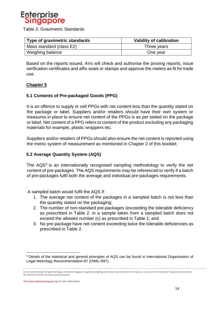

Table 2: Gravimetric Standards

| Type of gravimetric standards | <b>Validity of calibration</b> |  |
|-------------------------------|--------------------------------|--|
| Mass standard (class E2)      | Three years                    |  |
| Weighing balance              | One year                       |  |

Based on the reports issued, AVs will check and authorise the proving reports, issue verification certificates and affix seals or stamps and approve the meters as fit for trade use.

### **Chapter 5**

.

1

### **5.1 Contents of Pre-packaged Goods (PPG)**

It is an offence to supply or sell PPGs with net content less than the quantity stated on the package or label. Suppliers and/or retailers should have their own system or measures in place to ensure net content of the PPGs is as per stated on the package or label. Net content of a PPG refers to content of the product excluding any packaging materials for example, plastic wrappers etc.

Suppliers and/or retailers of PPGs should also ensure the net content is reported using the metric system of measurement as mentioned in Chapter 2 of this booklet.

### **5.2 Average Quantity System (AQS)**

The  $AQS<sup>3</sup>$  is an internationally recognised sampling methodology to verify the net content of pre-packages. The AQS requirements may be referenced to verify if a batch of pre-packages fulfil both the average and individual pre-packages requirements.

A sampled batch would fulfil the AQS if:

- 1. The average net content of the packages in a sampled batch is not less than the quantity stated on the packaging;
- 2. The number of non-standard pre-packages (exceeding the tolerable deficiency as prescribed in Table 2. in a sample taken from a sampled batch does not exceed the allowed number (c) as prescribed in Table 1; and
- 3. No pre-package have net content exceeding twice the tolerable deficiencies as prescribed in Table 2.

<sup>3</sup> Details of the statistical and general principles of AQS can be found in International Organisation of Legal Metrology Recommendation-87 (OIML-R87).

As the national body for legal metrology, Enterprise Singapore regulates weighing and measuring instruments for trade use to ensure fair transaction of goods and to protect the interests of both consumers and businesses.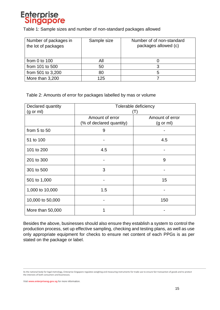

Table 1: Sample sizes and number of non-standard packages allowed

| Number of packages in<br>the lot of packages | Sample size | Number of of non-standard<br>packages allowed (c) |
|----------------------------------------------|-------------|---------------------------------------------------|
| from $0$ to $100$                            | All         |                                                   |
| from 101 to 500                              | 50          |                                                   |
| from 501 to 3,200                            | 80          | b                                                 |
| More than 3,200                              | 125         |                                                   |

Table 2: Amounts of error for packages labelled by mas or volume

| Declared quantity    | Tolerable deficiency     |                     |  |
|----------------------|--------------------------|---------------------|--|
| $(g \text{ or } ml)$ | $(\top)$                 |                     |  |
|                      | Amount of error          | Amount of error     |  |
|                      | (% of declared quantity) | $(g \text{ or } m)$ |  |
| from $5$ to $50$     | 9                        |                     |  |
| 51 to 100            |                          | 4.5                 |  |
| 101 to 200           | 4.5                      |                     |  |
| 201 to 300           |                          | 9                   |  |
| 301 to 500           | 3                        |                     |  |
| 501 to 1,000         |                          | 15                  |  |
| 1,000 to 10,000      | 1.5                      |                     |  |
| 10,000 to 50,000     |                          | 150                 |  |
| More than 50,000     |                          |                     |  |

Besides the above, businesses should also ensure they establish a system to control the production process, set up effective sampling, checking and testing plans, as well as use only appropriate equipment for checks to ensure net content of each PPGs is as per stated on the package or label.

As the national body for legal metrology, Enterprise Singapore regulates weighing and measuring instruments for trade use to ensure fair transaction of goods and to protect the interests of both consumers and businesses.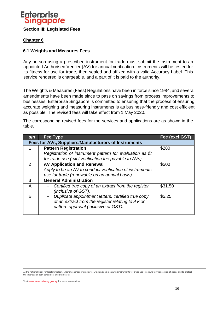

### **Chapter 6**

### **6.1 Weights and Measures Fees**

Any person using a prescribed instrument for trade must submit the instrument to an appointed Authorised Verifier (AV) for annual verification. Instruments will be tested for its fitness for use for trade, then sealed and affixed with a valid Accuracy Label. This service rendered is chargeable, and a part of it is paid to the authority.

The Weights & Measures (Fees) Regulations have been in force since 1984, and several amendments have been made since to pass on savings from process improvements to businesses. Enterprise Singapore is committed to ensuring that the process of ensuring accurate weighing and measuring instruments is as business-friendly and cost efficient as possible. The revised fees will take effect from 1 May 2020.

The corresponding revised fees for the services and applications are as shown in the table.

| s/n | Fee Type                                                                                                                                        | Fee (excl GST) |  |  |
|-----|-------------------------------------------------------------------------------------------------------------------------------------------------|----------------|--|--|
|     | Fees for AVs, Suppliers/Manufacturers of Instruments                                                                                            |                |  |  |
|     | <b>Pattern Registration</b>                                                                                                                     | \$280          |  |  |
|     | Registration of instrument pattern for evaluation as fit                                                                                        |                |  |  |
|     | for trade use (excl verification fee payable to AVs)                                                                                            |                |  |  |
| 2   | <b>AV Application and Renewal</b>                                                                                                               | \$500          |  |  |
|     | Apply to be an AV to conduct verification of instruments                                                                                        |                |  |  |
|     | use for trade (renewable on an annual basis)                                                                                                    |                |  |  |
| 3   | <b>General Administration</b>                                                                                                                   |                |  |  |
| A   | Certified true copy of an extract from the register<br>(inclusive of GST).                                                                      | \$31.50        |  |  |
| B   | Duplicate appointment letters, certified true copy<br>of an extract from the register relating to AV or<br>pattern approval (inclusive of GST). | \$5.25         |  |  |

As the national body for legal metrology, Enterprise Singapore regulates weighing and measuring instruments for trade use to ensure fair transaction of goods and to protect the interests of both consumers and businesses.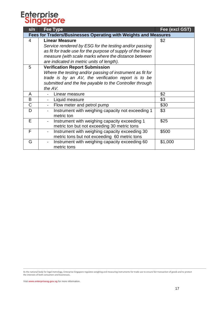| s/n                                                             | <b>Fee Type</b>                                              | <b>Fee (excl GST)</b> |  |  |
|-----------------------------------------------------------------|--------------------------------------------------------------|-----------------------|--|--|
| Fees for Traders/Businesses Operating with Weights and Measures |                                                              |                       |  |  |
| 4                                                               | <b>Linear Measure</b>                                        | \$2                   |  |  |
|                                                                 | Service rendered by ESG for the testing and/or passing       |                       |  |  |
|                                                                 | as fit for trade use for the purpose of supply of the linear |                       |  |  |
|                                                                 | measure (with scale marks where the distance between         |                       |  |  |
|                                                                 | are indicated in metric units of length).                    |                       |  |  |
| 5                                                               | <b>Verification Report Submission</b>                        |                       |  |  |
|                                                                 | Where the testing and/or passing of instrument as fit for    |                       |  |  |
|                                                                 | trade is by an AV, the verification report is to be          |                       |  |  |
|                                                                 | submitted and the fee payable to the Controller through      |                       |  |  |
|                                                                 | the AV.                                                      |                       |  |  |
| A                                                               | Linear measure                                               | \$2                   |  |  |
| B                                                               | Liquid measure                                               | \$3                   |  |  |
| $\mathsf C$                                                     | Flow meter and petrol pump                                   | \$30                  |  |  |
| D                                                               | Instrument with weighing capacity not exceeding 1            | \$3                   |  |  |
|                                                                 | metric ton                                                   |                       |  |  |
| E                                                               | Instrument with weighing capacity exceeding 1                | \$25                  |  |  |
|                                                                 | metric ton but not exceeding 30 metric tons                  |                       |  |  |
| F                                                               | Instrument with weighing capacity exceeding 30               | \$500                 |  |  |
|                                                                 | metric tons but not exceeding 60 metric tons                 |                       |  |  |
| G                                                               | Instrument with weighing capacity exceeding 60               | \$1,000               |  |  |
|                                                                 | metric tons                                                  |                       |  |  |

As the national body for legal metrology, Enterprise Singapore regulates weighing and measuring instruments for trade use to ensure fair transaction of goods and to protect the interests of both consumers and businesses.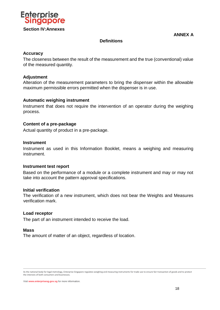

**ANNEX A** 

### **Definitions**

### **Accuracy**

The closeness between the result of the measurement and the true (conventional) value of the measured quantity.

### **Adjustment**

Alteration of the measurement parameters to bring the dispenser within the allowable maximum permissible errors permitted when the dispenser is in use.

### **Automatic weighing instrument**

Instrument that does not require the intervention of an operator during the weighing process.

### **Content of a pre-package**

Actual quantity of product in a pre-package.

### **Instrument**

Instrument as used in this Information Booklet, means a weighing and measuring instrument.

### **Instrument test report**

Based on the performance of a module or a complete instrument and may or may not take into account the pattern approval specifications.

### **Initial verification**

The verification of a new instrument, which does not bear the Weights and Measures verification mark.

### **Load receptor**

The part of an instrument intended to receive the load.

### **Mass**

The amount of matter of an object, regardless of location.

As the national body for legal metrology, Enterprise Singapore regulates weighing and measuring instruments for trade use to ensure fair transaction of goods and to protect the interests of both consumers and businesses.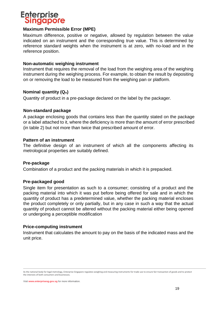

### **Maximum Permissible Error (MPE)**

Maximum difference, positive or negative, allowed by regulation between the value indicated on an instrument and the corresponding true value. This is determined by reference standard weights when the instrument is at zero, with no-load and in the reference position.

### **Non-automatic weighing instrument**

Instrument that requires the removal of the load from the weighing area of the weighing instrument during the weighing process. For example, to obtain the result by depositing on or removing the load to be measured from the weighing pan or platform.

### **Nominal quantity (Qn)**

Quantity of product in a pre-package declared on the label by the packager.

### **Non-standard package**

A package enclosing goods that contains less than the quantity stated on the package or a label attached to it, where the deficiency is more than the amount of error prescribed (in table 2) but not more than twice that prescribed amount of error.

### **Pattern of an instrument**

The definitive design of an instrument of which all the components affecting its metrological properties are suitably defined.

### **Pre-package**

Combination of a product and the packing materials in which it is prepacked.

### **Pre-packaged good**

Single item for presentation as such to a consumer; consisting of a product and the packing material into which it was put before being offered for sale and in which the quantity of product has a predetermined value, whether the packing material encloses the product completely or only partially, but in any case in such a way that the actual quantity of product cannot be altered without the packing material either being opened or undergoing a perceptible modification

### **Price-computing instrument**

Instrument that calculates the amount to pay on the basis of the indicated mass and the unit price.

As the national body for legal metrology, Enterprise Singapore regulates weighing and measuring instruments for trade use to ensure fair transaction of goods and to protect the interests of both consumers and businesses.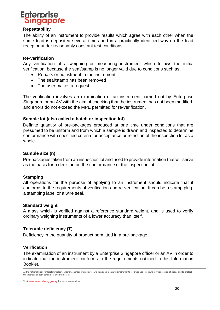

### **Repeatability**

The ability of an instrument to provide results which agree with each other when the same load is deposited several times and in a practically identified way on the load receptor under reasonably constant test conditions.

### **Re-verification**

Any verification of a weighing or measuring instrument which follows the initial verification, because the seal/stamp is no longer valid due to conditions such as:

- Repairs or adjustment to the instrument
- The seal/stamp has been removed
- The user makes a request

The verification involves an examination of an instrument carried out by Enterprise Singapore or an AV with the aim of checking that the instrument has not been modified, and errors do not exceed the MPE permitted for re-verification.

### **Sample lot (also called a batch or inspection lot)**

Definite quantity of pre-packages produced at one time under conditions that are presumed to be uniform and from which a sample is drawn and inspected to determine conformance with specified criteria for acceptance or rejection of the inspection lot as a whole.

### **Sample size (n)**

Pre-packages taken from an inspection lot and used to provide information that will serve as the basis for a decision on the conformance of the inspection lot.

### **Stamping**

All operations for the purpose of applying to an instrument should indicate that it conforms to the requirements of verification and re-verification. It can be a stamp plug, a stamping label or a wire seal.

### **Standard weight**

A mass which is verified against a reference standard weight, and is used to verify ordinary weighing instruments of a lower accuracy than itself.

### **Tolerable deficiency (T)**

Deficiency in the quantity of product permitted in a pre-package.

### **Verification**

The examination of an instrument by a Enterprise Singapore officer or an AV in order to indicate that the instrument conforms to the requirements outlined in this Information Booklet.

As the national body for legal metrology, Enterprise Singapore regulates weighing and measuring instruments for trade use to ensure fair transaction of goods and to protect the interests of both consumers and businesses.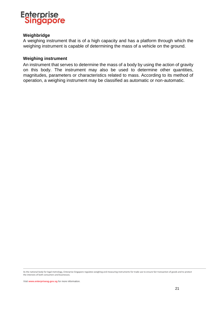

### **Weighbridge**

A weighing instrument that is of a high capacity and has a platform through which the weighing instrument is capable of determining the mass of a vehicle on the ground.

### **Weighing instrument**

An instrument that serves to determine the mass of a body by using the action of gravity on this body. The instrument may also be used to determine other quantities, magnitudes, parameters or characteristics related to mass. According to its method of operation, a weighing instrument may be classified as automatic or non-automatic.

As the national body for legal metrology, Enterprise Singapore regulates weighing and measuring instruments for trade use to ensure fair transaction of goods and to protect the interests of both consumers and businesses.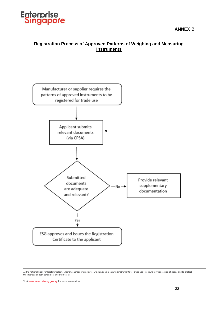

### **Registration Process of Approved Patterns of Weighing and Measuring Instruments**



As the national body for legal metrology, Enterprise Singapore regulates weighing and measuring instruments for trade use to ensure fair transaction of goods and to protect the interests of both consumers and businesses.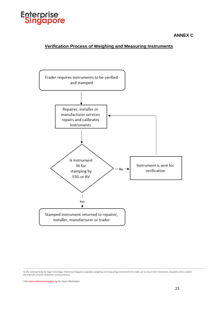

### **ANNEX C**

### **Verification Process of Weighing and Measuring Instruments**



As the national body for legal metrology, Enterprise Singapore regulates weighing and measuring instruments for trade use to ensure fair transaction of goods and to protect the interests of both consumers and businesses.